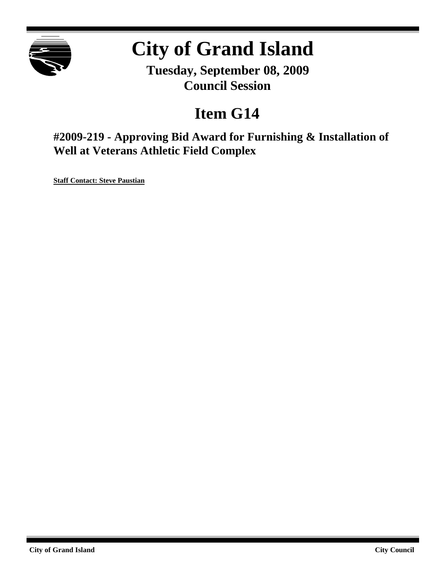

# **City of Grand Island**

**Tuesday, September 08, 2009 Council Session**

## **Item G14**

**#2009-219 - Approving Bid Award for Furnishing & Installation of Well at Veterans Athletic Field Complex**

**Staff Contact: Steve Paustian**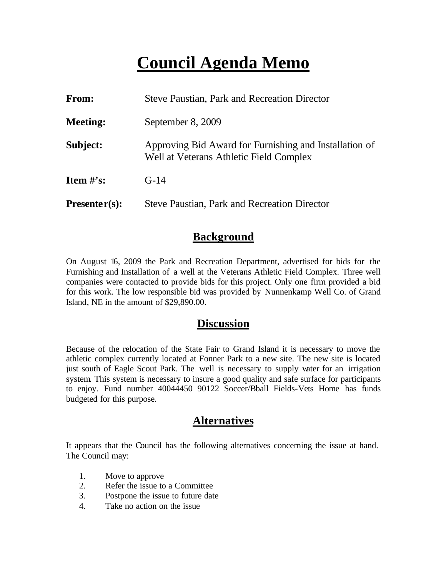## **Council Agenda Memo**

| From:           | <b>Steve Paustian, Park and Recreation Director</b>                                               |  |
|-----------------|---------------------------------------------------------------------------------------------------|--|
| <b>Meeting:</b> | September 8, 2009                                                                                 |  |
| Subject:        | Approving Bid Award for Furnishing and Installation of<br>Well at Veterans Athletic Field Complex |  |
| Item $\#$ 's:   | $G-14$                                                                                            |  |
| $Presenter(s):$ | <b>Steve Paustian, Park and Recreation Director</b>                                               |  |

### **Background**

On August 16, 2009 the Park and Recreation Department, advertised for bids for the Furnishing and Installation of a well at the Veterans Athletic Field Complex. Three well companies were contacted to provide bids for this project. Only one firm provided a bid for this work. The low responsible bid was provided by Nunnenkamp Well Co. of Grand Island, NE in the amount of \$29,890.00.

#### **Discussion**

Because of the relocation of the State Fair to Grand Island it is necessary to move the athletic complex currently located at Fonner Park to a new site. The new site is located just south of Eagle Scout Park. The well is necessary to supply water for an irrigation system. This system is necessary to insure a good quality and safe surface for participants to enjoy. Fund number 40044450 90122 Soccer/Bball Fields-Vets Home has funds budgeted for this purpose.

### **Alternatives**

It appears that the Council has the following alternatives concerning the issue at hand. The Council may:

- 1. Move to approve
- 2. Refer the issue to a Committee
- 3. Postpone the issue to future date
- 4. Take no action on the issue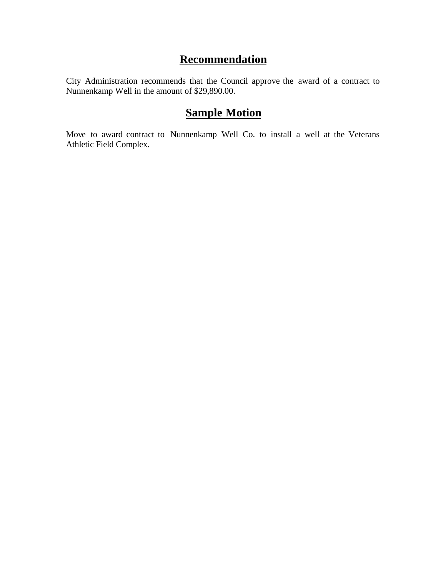## **Recommendation**

City Administration recommends that the Council approve the award of a contract to Nunnenkamp Well in the amount of \$29,890.00.

## **Sample Motion**

Move to award contract to Nunnenkamp Well Co. to install a well at the Veterans Athletic Field Complex.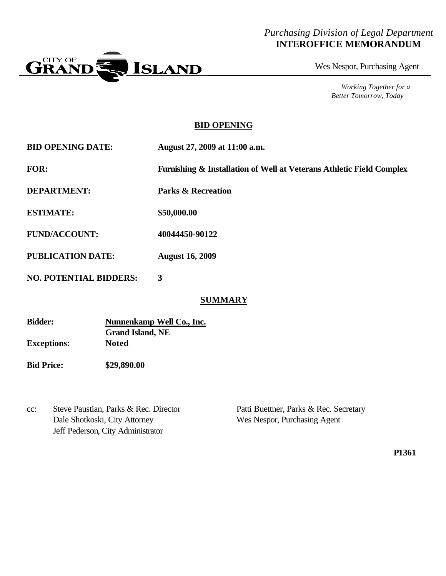#### *Purchasing Division of Legal Department* **INTEROFFICE MEMORANDUM**



Wes Nespor, Purchasing Agent

*Working Together for a Better Tomorrow, Today*

#### **BID OPENING**

**BID OPENING DATE: August 27, 2009 at 11:00 a.m.**

**FOR: Furnishing & Installation of Well at Veterans Athletic Field Complex**

**DEPARTMENT: Parks & Recreation**

**ESTIMATE: \$50,000.00**

**FUND/ACCOUNT: 40044450-90122**

**PUBLICATION DATE: August 16, 2009**

**NO. POTENTIAL BIDDERS: 3**

#### **SUMMARY**

| <b>Bidder:</b>     | Nunnenkamp Well Co., Inc. |
|--------------------|---------------------------|
|                    | <b>Grand Island, NE</b>   |
| <b>Exceptions:</b> | <b>Noted</b>              |

**Bid Price: \$29,890.00**

cc: Steve Paustian, Parks & Rec. Director Patti Buettner, Parks & Rec. Secretary Dale Shotkoski, City Attorney Wes Nespor, Purchasing Agent Jeff Pederson, City Administrator

**P1361**